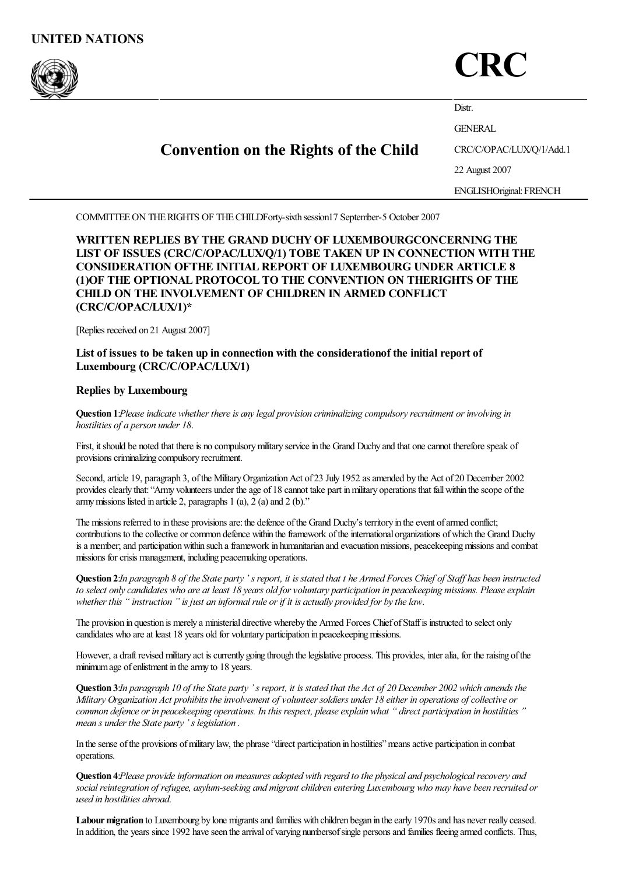

# **CRC**

|  | <b>Convention on the Rights of the Child</b> | Distr.                         |
|--|----------------------------------------------|--------------------------------|
|  |                                              | <b>GENERAL</b>                 |
|  |                                              | CRC/C/OPAC/LUX/Q/1/Add.1       |
|  |                                              | 22 August 2007                 |
|  |                                              | <b>ENGLISHOriginal: FRENCH</b> |

COMMITTEEON THERIGHTS OF THECHILDForty-sixth session17 September-5 October 2007

WRITTEN REPLIES BY THE GRAND DUCHYOF LUXEMBOURGCONCERNING THE LIST OF ISSUES (CRC/C/OPAC/LUX/Q/1) TOBE TAKEN UP IN CONNECTION WITHTHE CONSIDERATION OFTHE INITIAL REPORT OF LUXEMBOURG UNDER ARTICLE 8 (1)OF THE OPTIONAL PROTOCOL TO THE CONVENTION ON THERIGHTS OF THE CHILD ON THE INVOLVEMENT OF CHILDREN IN ARMED CONFLICT (CRC/C/OPAC/LUX/1)\*

[Replies received on 21 August 2007]

# List of issues to be taken up in connection with the considerationof the initial report of Luxembourg (CRC/C/OPAC/LUX/1)

# Replies by Luxembourg

Question 1:*Pleaseindicate whether thereis anylegal provision criminalizing compulsoryrecruitment or involving in hostilities of a person under 18*.

First, it should be noted that there is no compulsory military service in the Grand Duchy and that one cannot therefore speak of provisions criminalizing compulsory recruitment.

Second, article 19, paragraph 3, of the Military Organization Act of 23 July 1952 as amended by the Act of 20 December 2002 provides clearly that: "Army volunteers under the age of 18 cannot take part in military operations that fall within the scope of the army missions listed in article 2, paragraphs  $1$  (a),  $2$  (a) and  $2$  (b)."

The missions referred to in these provisions are: the defence of the Grand Duchy's territory in the event of armed conflict; contributions to the collective or common defence within the framework of the international organizations of which the Grand Duchy is a member; and participation within such a framework in humanitarian and evacuation missions, peacekeeping missions and combat missions for crisis management, including peacemaking operations.

Question 2:In paragraph 8 of the State party 's report, it is stated that t he Armed Forces Chief of Staff has been instructed to select only candidates who are at least 18 years old for voluntary participation in peacekeeping missions. Please explain *whether this " instruction " is just an informalrule or if it is actually provided for bythelaw*.

The provision in question is merely a ministerial directive whereby the Armed Forces Chief ofStaffis instructed to select only candidates who are at least 18 years old for voluntary participation in peacekeeping missions.

However, a draft revised military act is currently going through the legislative process. This provides, inter alia, for the raising of the minimum age of enlistment in the army to 18 years.

**Ouestion 3:**In paragraph 10 of the State party 's report, it is stated that the Act of 20 December 2002 which amends the Military Organization Act prohibits the involvement of volunteer soldiers under 18 either in operations of collective or common defence or in peacekeeping operations. In this respect, please explain what "direct participation in hostilities" *mean s under the State party' s legislation .*

In the sense of the provisions of military law, the phrase "direct participation in hostilities" means active participation in combat operations.

Question 4:*Please provideinformation on measures adopted with regard to the physical and psychologicalrecovery and socialreintegration of refugee, asylum-seeking and migrant children entering Luxembourg who may have been recruited or used in hostilities abroad*.

Labour migration to Luxembourg by lone migrants and families with children began in the early 1970s and has never really ceased. In addition, the years since 1992 have seen the arrival of varying numbersof single persons and families fleeing armed conflicts. Thus,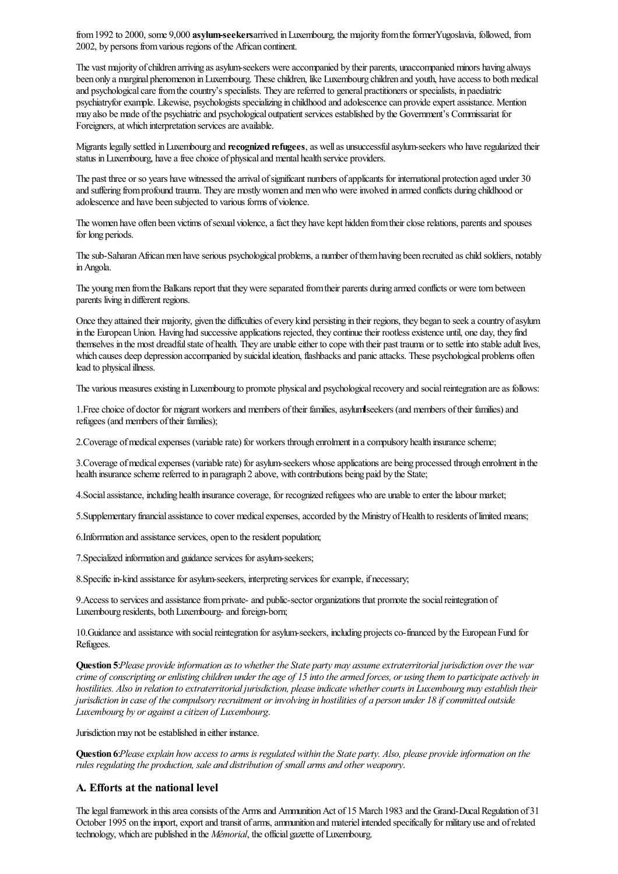from 1992 to 2000, some 9,000 asylum-seekersarrived in Luxembourg, the majority from the formerYugoslavia, followed, from 2002, by persons fromvarious regions ofthe African continent.

The vast majority of children arriving as asylum-seekers were accompanied by their parents, unaccompanied minors having always been only a marginal phenomenon in Luxembourg. These children, like Luxembourg children and youth, have access to both medical and psychological care from the country's specialists. They are referred to general practitioners or specialists, in paediatric psychiatryforexample. Likewise, psychologists specializing in childhood and adolescencecan provideexpertassistance. Mention may also be made of the psychiatric and psychological outpatient services established by the Government's Commissariat for Foreigners, at which interpretation services are available.

Migrants legally settled in Luxembourg and recognized refugees, as well as unsuccessful asylum-seekers who have regularized their status in Luxembourg, have a free choice of physical and mental health service providers.

The past three or so years have witnessed the arrival of significant numbers of applicants for international protection aged under 30 and suffering from profound trauma. They are mostly women and men who were involved in armed conflicts during childhood or adolescence and have been subjected to various forms of violence.

The women have often been victims of sexual violence, a fact they have kept hidden from their close relations, parents and spouses for long periods.

The sub-Saharan African men have serious psychological problems, a number of them having been recruited as child soldiers, notably inAngola.

The young men from the Balkans report that they were separated from their parents during armed conflicts or were torn between parents living in different regions.

Once they attained their majority, given the difficulties of every kind persisting in their regions, they began to seek a country of asylum in the European Union. Having had successive applications rejected, they continue their rootless existence until, one day, they find themselves in the most dreadful state of health. They are unable either to cope with their past trauma or to settle into stable adult lives, which causes deep depression accompanied by suicidal ideation, flashbacks and panic attacks. These psychological problems often lead to physical illness.

The various measures existing in Luxembourg to promote physical and psychological recovery and social reintegration are as follows:

1. Free choice of doctor for migrant workers and members of their families, asylum seekers (and members of their families) and refugees (and members of their families);

2. Coverage of medical expenses (variable rate) for workers through enrolment in a compulsory health insurance scheme;

3. Coverage of medical expenses (variable rate) for asylum-seekers whose applications are being processed through enrolment in the health insurance scheme referred to in paragraph 2 above, with contributions being paid by the State;

4. Social assistance, including health insurance coverage, for recognized refugees who are unable to enter the labour market;

5. Supplementary financial assistance to cover medical expenses, accorded by the Ministry of Health to residents of limited means;

6. Information and assistance services, open to the resident population;

7. Specialized information and guidance services for asylum-seekers;

8. Specific in-kind assistance for asylum-seekers, interpreting services for example, if necessary;

9. Access to services and assistance from private- and public-sector organizations that promote the social reintegration of Luxembourg residents, both Luxembourg- and foreign-born;

10. Guidance and assistance with social reintegration for asylum-seekers, including projects co-financed by the European Fund for Refugees.

Question 5:*Please provideinformation as to whether the State party may assumeextraterritorial jurisdiction over the war* crime of conscripting or enlisting children under the age of 15 into the armed forces, or using them to participate actively in *hostilities. Also in relation to extraterritorial jurisdiction, pleaseindicate whethercourts in Luxembourg mayestablish their* jurisdiction in case of the compulsory recruitment or involving in hostilities of a person under 18 if committed outside *Luxembourg by or against a citizen of Luxembourg*.

Jurisdiction may not be established in either instance.

Question 6:Please explain how access to arms is regulated within the State party. Also, please provide information on the *rules regulating the production, sale and distribution of small arms and other weaponry*.

### A. Efforts at the national level

The legal framework in this area consists of the Arms and Ammunition Act of 15 March 1983 and the Grand-Ducal Regulation of 31 October 1995 on the import, export and transit of arms, ammunition and materiel intended specifically for military use and of related technology, which are published in the *Mémorial*, the official gazette of Luxembourg.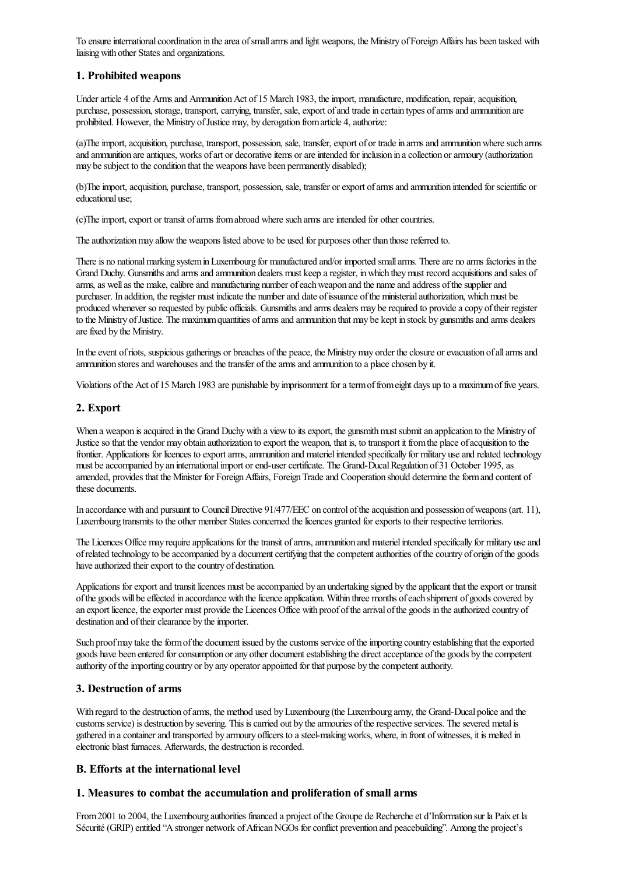To ensure international coordination in the area of small arms and light weapons, the Ministry of Foreign Affairs has been tasked with liaising with other States and organizations.

# 1. Prohibited weapons

Under article 4 of the Arms and Ammunition Act of 15 March 1983, the import, manufacture, modification, repair, acquisition, purchase, possession, storage, transport, carrying, transfer, sale, export of and trade in certain types of arms and ammunition are prohibited. However, the Ministry of Justice may, by derogation from article 4, authorize:

(a)The import, acquisition, purchase, transport, possession, sale, transfer, export of or trade in arms and ammunition where such arms and ammunition are antiques, works of art or decorative items or are intended for inclusion in a collection or armoury (authorization may be subject to the condition that the weapons have been permanently disabled);

(b)The import, acquisition, purchase, transport, possession, sale, transfer or export of arms and ammunition intended for scientific or educational use;

(c)The import, export or transit of arms from abroad where such arms are intended for other countries.

The authorization may allow the weapons listed above to be used for purposes other than those referred to.

There is no national marking system in Luxembourg for manufactured and/or imported small arms. There are no arms factories in the Grand Duchy. Gunsmiths and arms and ammunition dealers must keep a register, in which they must record acquisitions and sales of arms, as well as the make, calibre and manufacturing number of each weapon and the name and address of the supplier and purchaser. In addition, the register must indicate the number and date of issuance of the ministerial authorization, which must be produced whenever so requested by public officials. Gunsmiths and arms dealers may be required to provide a copy of their register to the Ministry of Justice. The maximum quantities of arms and ammunition that may be kept in stock by gunsmiths and arms dealers are fixed by the Ministry.

In the event of riots, suspicious gatherings or breaches of the peace, the Ministry may order the closure or evacuation of all arms and ammunition stores and warehouses and the transfer of the arms and ammunition to a place chosen by it.

Violations of the Act of 15 March 1983 are punishable by imprisonment for a term of from eight days up to a maximum of five years.

# 2. Export

When a weapon is acquired in the Grand Duchy with a view to its export, the gunsmith must submit an application to the Ministry of Justiceso that the vendor may obtain authorization to export the weapon, that is, to transport it fromthe place ofacquisition to the frontier. Applications for licences to export arms, ammunition and materiel intended specifically for military use and related technology must be accompanied by an international import or end-user certificate. The Grand-Ducal Regulation of 31 October 1995, as amended, provides that the Minister for Foreign Affairs, Foreign Trade and Cooperation should determine the form and content of these documents.

In accordance with and pursuant to Council Directive 91/477/EEC on control of the acquisition and possession of weapons (art. 11). Luxembourg transmits to the other member States concerned the licences granted for exports to their respective territories.

The Licences Office may require applications for the transit of arms, ammunition and materiel intended specifically for military use and of related technology to be accompanied by a document certifying that the competent authorities of the country of origin of the goods have authorized their export to the country of destination.

Applications for export and transit licences must be accompanied by an undertaking signed by the applicant that the export or transit of the goods will be effected in accordance with the licence application. Within three months of each shipment of goods covered by an export licence, the exporter must provide the Licences Office with proof of the arrival of the goods in the authorized country of destination and of their clearance by the importer.

Such proof may take the form of the document issued by the customs service of the importing country establishing that the exported goods have been entered for consumption or any other document establishing the direct acceptance of the goods by the competent authority of the importing country or by any operator appointed for that purpose by the competent authority.

# 3. Destruction of arms

With regard to the destruction of arms, the method used by Luxembourg (the Luxembourg army, the Grand-Ducal police and the customs service) is destruction by severing. This is carried out by the armouries of the respective services. The severed metal is gathered in a container and transported by armoury officers to a steel-making works, where, in front of witnesses, it is melted in electronic blast furnaces. Afterwards, the destruction is recorded.

# B. Efforts at the international level

# 1. Measures to combat the accumulation and proliferation of small arms

From 2001 to 2004, the Luxembourg authorities financed a project of the Groupe de Recherche et d'Information sur la Paix et la Sécurité (GRIP) entitled "A stronger network of African NGOs for conflict prevention and peacebuilding". Among the project's